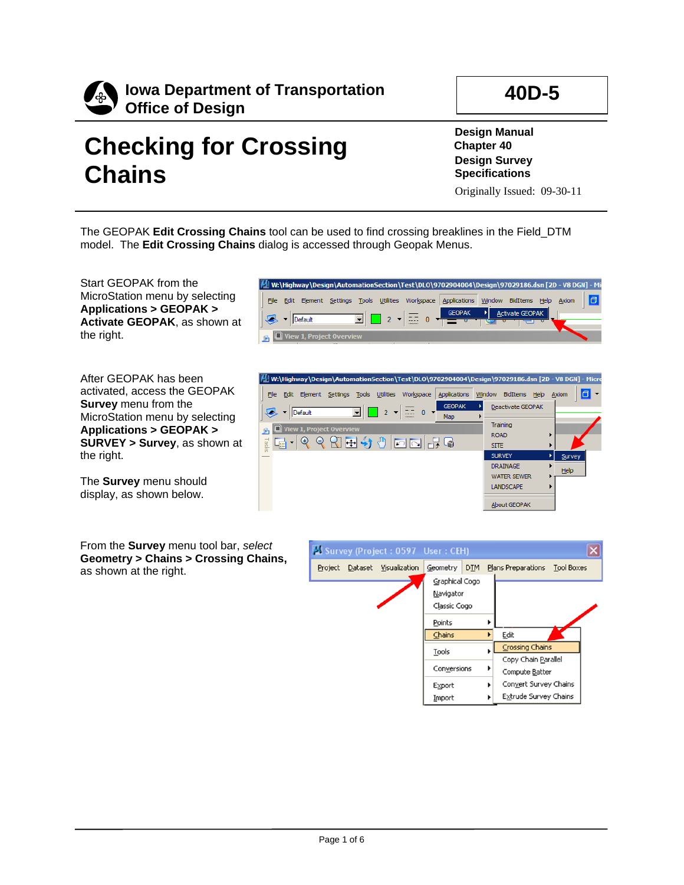

# **Checking for Crossing Chains**

**Design Manual Chapter 40 Design Survey Specifications**

Originally Issued: 09-30-11

**40D-5**

The GEOPAK **Edit Crossing Chains** tool can be used to find crossing breaklines in the Field\_DTM model. The **Edit Crossing Chains** dialog is accessed through Geopak Menus.

Start GEOPAK from the MicroStation menu by selecting **Applications > GEOPAK > Activate GEOPAK**, as shown at the right.

After GEOPAK has been activated, access the GEOPAK **Survey** menu from the MicroStation menu by selecting **Applications > GEOPAK > SURVEY > Survey**, as shown at the right.

The **Survey** menu should display, as shown below.

From the **Survey** menu tool bar, *select*  **Geometry > Chains > Crossing Chains,** as shown at the right.





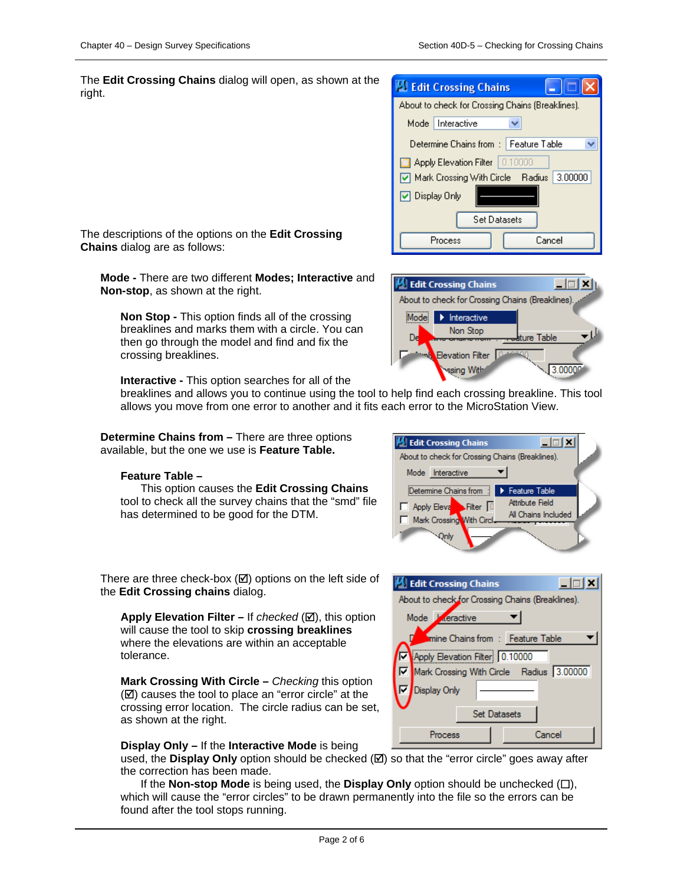The **Edit Crossing Chains** dialog will open, as shown at the right.

| <b>Edit Crossing Chains</b>                      |  |  |  |  |  |
|--------------------------------------------------|--|--|--|--|--|
| About to check for Crossing Chains (Breaklines). |  |  |  |  |  |
| Mode   Interactive                               |  |  |  |  |  |
| Determine Chains from :   Feature Table          |  |  |  |  |  |
| Apply Elevation Filter   0.10000                 |  |  |  |  |  |
| Mark Crossing With Circle Radius 3.00000         |  |  |  |  |  |
| □ Display Only                                   |  |  |  |  |  |
| Set Datasets                                     |  |  |  |  |  |
| Cancel<br>Process                                |  |  |  |  |  |

The descriptions of the options on the **Edit Crossing Chains** dialog are as follows:

**Mode -** There are two different **Modes; Interactive** and **Non-stop**, as shown at the right.

**Non Stop -** This option finds all of the crossing breaklines and marks them with a circle. You can then go through the model and find and fix the crossing breaklines.

**Interactive -** This option searches for all of the

breaklines and allows you to continue using the tool to help find each crossing breakline. This tool allows you move from one error to another and it fits each error to the MicroStation View.

**Determine Chains from –** There are three options available, but the one we use is **Feature Table.** 

#### **Feature Table –**

This option causes the **Edit Crossing Chains**  tool to check all the survey chains that the "smd" file has determined to be good for the DTM.

| <b>B</b> Edit Crossing Chains<br>$ \Box$ $\times$ |  |
|---------------------------------------------------|--|
| About to check for Crossing Chains (Breaklines).  |  |
| Mode Interactive                                  |  |
| Determine Chains from : > Feature Table           |  |
| Attribute Field<br>Apply Eleva Filter 0           |  |
| All Chains Included<br>Mark Crossing With Circl.  |  |
|                                                   |  |

There are three check-box  $(\boxtimes)$  options on the left side of the **Edit Crossing chains** dialog.

**Apply Elevation Filter** – If *checked* (⊠), this option will cause the tool to skip **crossing breaklines** where the elevations are within an acceptable tolerance.

**Mark Crossing With Circle –** *Checking* this option  $(\boxtimes)$  causes the tool to place an "error circle" at the crossing error location. The circle radius can be set, as shown at the right.

#### **Display Only –** If the **Interactive Mode** is being

used, the **Display Only** option should be checked  $(\mathbb{Z})$  so that the "error circle" goes away after the correction has been made.

If the **Non-stop Mode** is being used, the **Display Only** option should be unchecked  $(\Box)$ , which will cause the "error circles" to be drawn permanently into the file so the errors can be found after the tool stops running.





- 101

**B** Edit Crossing Chains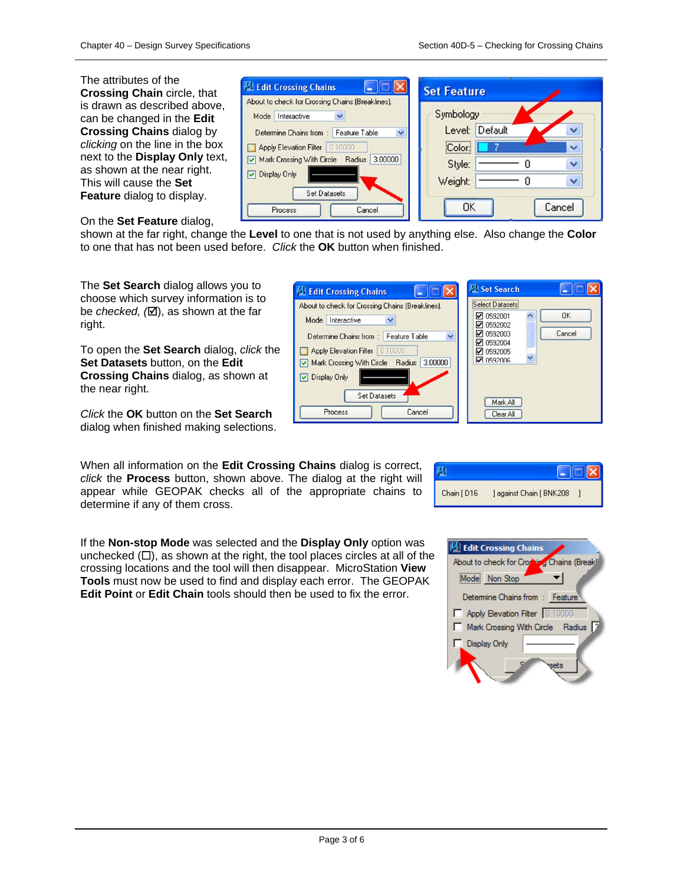The attributes of the **Crossing Chain** circle, that is drawn as described above, can be changed in the **Edit Crossing Chains** dialog by *clicking* on the line in the box next to the **Display Only** text, as shown at the near right. This will cause the **Set Feature** dialog to display.

### On the **Set Feature** dialog,

**Edit Crossing Chains**  $\blacksquare$   $\blacksquare$   $\blacksquare$   $\blacksquare$ **Set Feature** About to check for Crossing Chains (Breaklines). Symbology Mode Interactive  $\checkmark$ Level: Default Determine Chains from : Feature Table Apply Elevation Filter 0.10000 Color. Mark Crossing With Circle Radius 3.00000  $\mathbf 0$ Style: O Display Only  $\overline{0}$ Weight:  $\ddot{\phantom{0}}$ **Set Datasets OK** Cancel Process Cancel

shown at the far right, change the **Level** to one that is not used by anything else. Also change the **Color** to one that has not been used before. *Click* the **OK** button when finished.

The **Set Search** dialog allows you to choose which survey information is to be *checked,* ( $\boxtimes$ ), as shown at the far right.

To open the **Set Search** dialog, *click* the **Set Datasets** button, on the **Edit Crossing Chains** dialog, as shown at the near right.

*Click* the **OK** button on the **Set Search**  dialog when finished making selections.

When all information on the **Edit Crossing Chains** dialog is correct, *click* the **Process** button, shown above. The dialog at the right will appear while GEOPAK checks all of the appropriate chains to determine if any of them cross.

If the **Non-stop Mode** was selected and the **Display Only** option was unchecked  $(\Box)$ , as shown at the right, the tool places circles at all of the crossing locations and the tool will then disappear. MicroStation **View Tools** must now be used to find and display each error. The GEOPAK **Edit Point** or **Edit Chain** tools should then be used to fix the error.

| Edit Crossing Chains                                             | Set Search                          |  |
|------------------------------------------------------------------|-------------------------------------|--|
| About to check for Crossing Chains (Breaklines).                 | <br>Select Datasets                 |  |
| Mode Interactive                                                 | OK<br>☑ 0592001<br>$\nabla$ 0592002 |  |
| $\overline{\mathbf{v}}$<br>Determine Chains from : Feature Table | Cancel<br>☑ 0592003                 |  |
| 0.10000 <br>Apply Elevation Filter                               | ☑ 0592004<br>☑ 0592005              |  |
| 3.00000<br>Mark Crossing With Circle Radius                      | <b>D</b> 0592006                    |  |
| O Display Only                                                   |                                     |  |
| <b>Set Datasets</b>                                              |                                     |  |
| Cancel<br>Process                                                | Mark All<br>Clear All               |  |
|                                                                  |                                     |  |

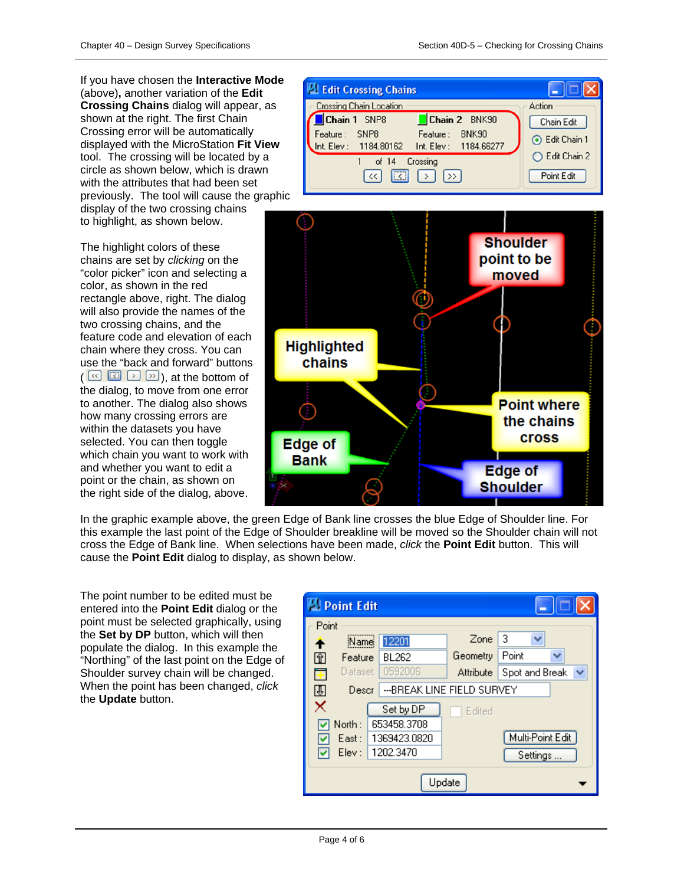If you have chosen the **Interactive Mode** (above)**,** another variation of the **Edit Crossing Chains** dialog will appear, as shown at the right. The first Chain Crossing error will be automatically displayed with the MicroStation **Fit View**  tool. The crossing will be located by a circle as shown below, which is drawn with the attributes that had been set previously. The tool will cause the graphic display of the two crossing chains to highlight, as shown below.

The highlight colors of these chains are set by *clicking* on the "color picker" icon and selecting a color, as shown in the red rectangle above, right. The dialog will also provide the names of the two crossing chains, and the feature code and elevation of each chain where they cross. You can use the "back and forward" buttons  $(\sqrt{\alpha} \sqrt{2})$   $\rightarrow$   $\sqrt{2}$ ), at the bottom of the dialog, to move from one error to another. The dialog also shows how many crossing errors are within the datasets you have selected. You can then toggle which chain you want to work with and whether you want to edit a point or the chain, as shown on the right side of the dialog, above.

| <b>Edit Crossing Chains</b>                                                                                           |                              |
|-----------------------------------------------------------------------------------------------------------------------|------------------------------|
| <b>Crossing Chain Location</b>                                                                                        | Action                       |
| Chain 1 SNP8<br>Chain 2 BNK90<br>Feature: SNP8<br>BNK90<br>Feature:<br>Int. Elev: 1184.80162<br>Int. Elev: 1184.66277 | Chain Edit<br>C Edit Chain 1 |
| Crossing<br>of $14$<br>$\boxed{1}$<br>$\rightarrow$<br>$\ll$<br>$\rightarrow$ 1                                       | Edit Chain 2<br>Point Edit   |



In the graphic example above, the green Edge of Bank line crosses the blue Edge of Shoulder line. For this example the last point of the Edge of Shoulder breakline will be moved so the Shoulder chain will not cross the Edge of Bank line. When selections have been made, *click* the **Point Edit** button. This will cause the **Point Edit** dialog to display, as shown below.

The point number to be edited must be entered into the **Point Edit** dialog or the point must be selected graphically, using the **Set by DP** button, which will then populate the dialog. In this example the "Northing" of the last point on the Edge of Shoulder survey chain will be changed. When the point has been changed, *click* the **Update** button.

| <b>Point Edit</b>        |                            |                  |                  |  |  |  |
|--------------------------|----------------------------|------------------|------------------|--|--|--|
| Point                    |                            |                  |                  |  |  |  |
| Name<br>↑                | 12201                      | Zone             | з                |  |  |  |
| 囧<br>Feature             | BL262                      | Geometry         | Point<br>v       |  |  |  |
| Ŧ<br>Dataset i           | 0592006                    | <b>Attribute</b> | Spot and Break   |  |  |  |
| 囤<br>Descr               | ---BREAK LINE FIELD SURVEY |                  |                  |  |  |  |
| ×<br>Set by DP<br>Edited |                            |                  |                  |  |  |  |
| North:<br>653458.3708    |                            |                  |                  |  |  |  |
| East :                   | 1369423.0820               |                  | Multi-Point Edit |  |  |  |
| Elev :<br>M              | 1202.3470                  |                  | Settings         |  |  |  |
| Update                   |                            |                  |                  |  |  |  |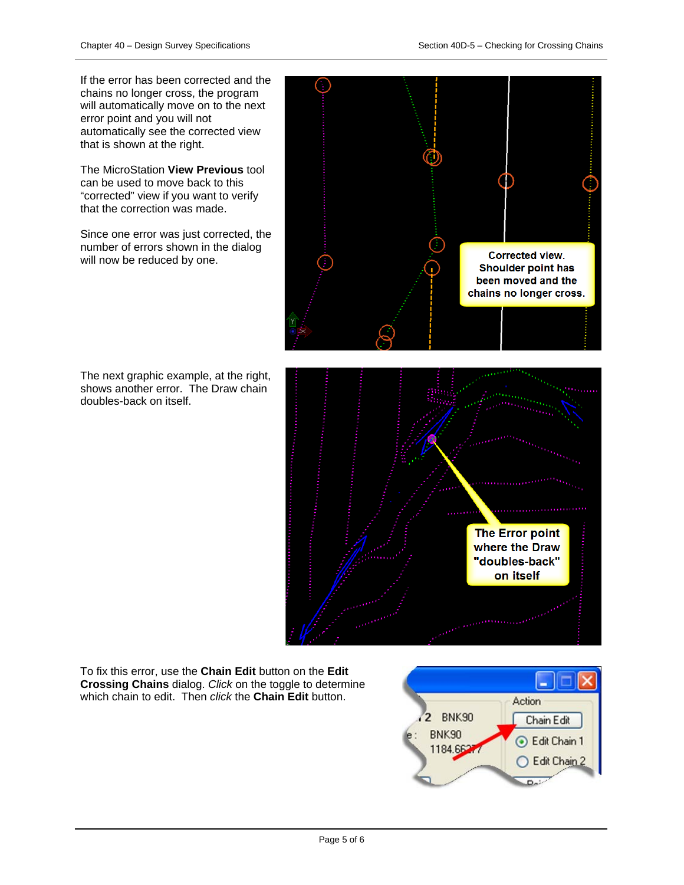If the error has been corrected and the chains no longer cross, the program will automatically move on to the next error point and you will not automatically see the corrected view that is shown at the right.

The MicroStation **View Previous** tool can be used to move back to this "corrected" view if you want to verify that the correction was made.

Since one error was just corrected, the number of errors shown in the dialog will now be reduced by one.

The next graphic example, at the right, shows another error. The Draw chain doubles-back on itself.



To fix this error, use the **Chain Edit** button on the **Edit Crossing Chains** dialog. *Click* on the toggle to determine which chain to edit. Then *click* the **Chain Edit** button.

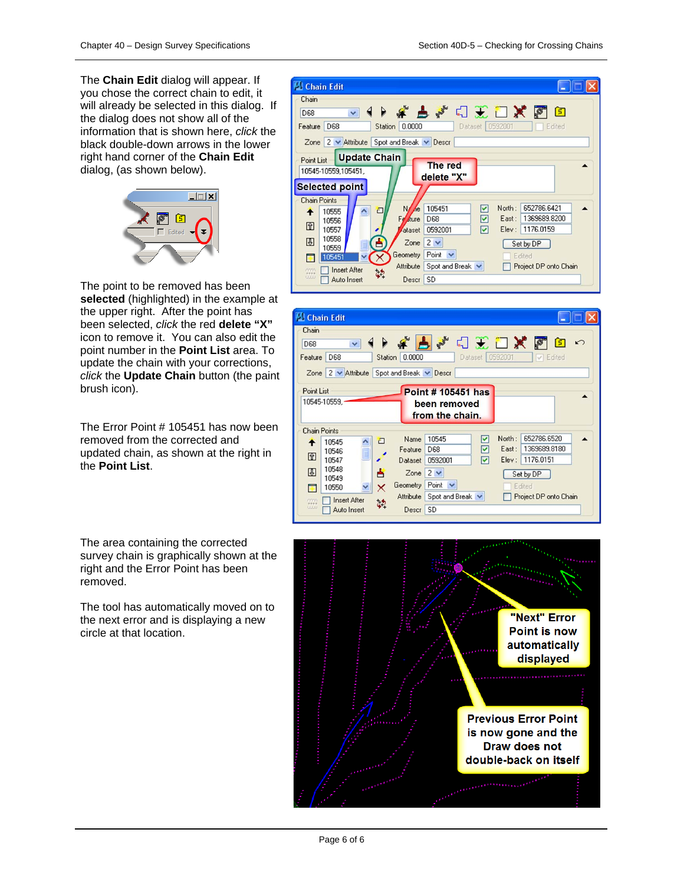The **Chain Edit** dialog will appear. If you chose the correct chain to edit, it will already be selected in this dialog. If the dialog does not show all of the information that is shown here, *click* the black double-down arrows in the lower right hand corner of the **Chain Edit** dialog, (as shown below).



The point to be removed has been **selected** (highlighted) in the example at the upper right. After the point has been selected, *click* the red **delete "X"** icon to remove it. You can also edit the point number in the **Point List** area. To update the chain with your corrections, *click* the **Update Chain** button (the paint brush icon).

The Error Point # 105451 has now been removed from the corrected and updated chain, as shown at the right in the **Point List**.

The area containing the corrected survey chain is graphically shown at the right and the Error Point has been removed.

The tool has automatically moved on to the next error and is displaying a new circle at that location.